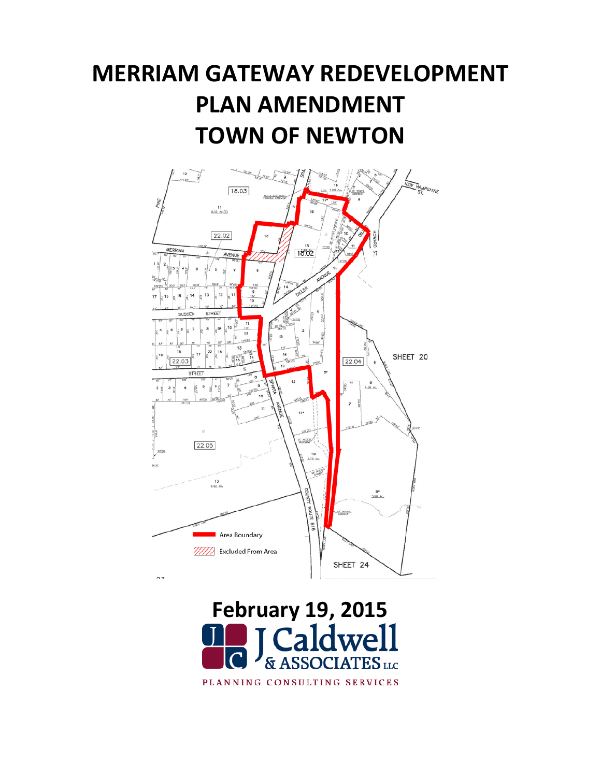# **MERRIAM GATEWAY REDEVELOPMENT PLAN AMENDMENT TOWN OF NEWTON**



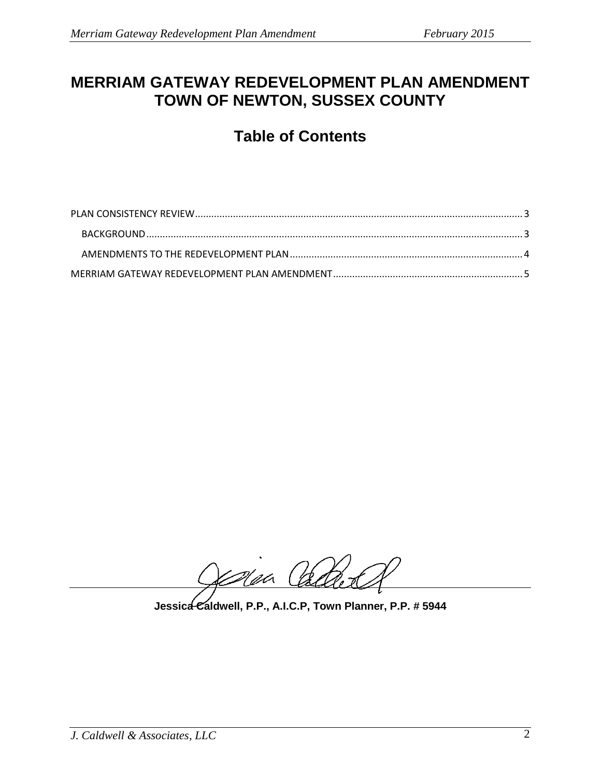# **MERRIAM GATEWAY REDEVELOPMENT PLAN AMENDMENT TOWN OF NEWTON, SUSSEX COUNTY**

# **Table of Contents**

Nea Cadre

**Jessica Caldwell, P.P., A.I.C.P, Town Planner, P.P. # 5944**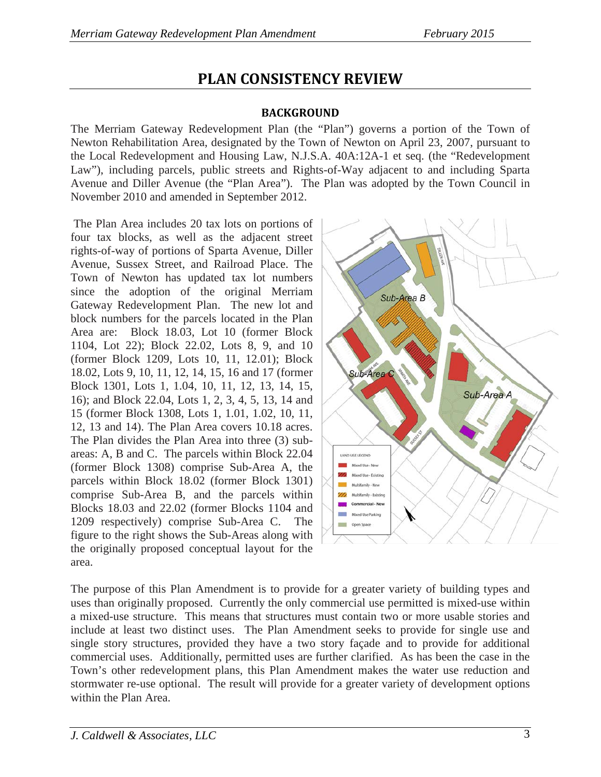# **PLAN CONSISTENCY REVIEW**

#### **BACKGROUND**

<span id="page-2-1"></span><span id="page-2-0"></span>The Merriam Gateway Redevelopment Plan (the "Plan") governs a portion of the Town of Newton Rehabilitation Area, designated by the Town of Newton on April 23, 2007, pursuant to the Local Redevelopment and Housing Law, N.J.S.A. 40A:12A-1 et seq. (the "Redevelopment Law"), including parcels, public streets and Rights-of-Way adjacent to and including Sparta Avenue and Diller Avenue (the "Plan Area"). The Plan was adopted by the Town Council in November 2010 and amended in September 2012.

The Plan Area includes 20 tax lots on portions of four tax blocks, as well as the adjacent street rights-of-way of portions of Sparta Avenue, Diller Avenue, Sussex Street, and Railroad Place. The Town of Newton has updated tax lot numbers since the adoption of the original Merriam Gateway Redevelopment Plan. The new lot and block numbers for the parcels located in the Plan Area are: Block 18.03, Lot 10 (former Block 1104, Lot 22); Block 22.02, Lots 8, 9, and 10 (former Block 1209, Lots 10, 11, 12.01); Block 18.02, Lots 9, 10, 11, 12, 14, 15, 16 and 17 (former Block 1301, Lots 1, 1.04, 10, 11, 12, 13, 14, 15, 16); and Block 22.04, Lots 1, 2, 3, 4, 5, 13, 14 and 15 (former Block 1308, Lots 1, 1.01, 1.02, 10, 11, 12, 13 and 14). The Plan Area covers 10.18 acres. The Plan divides the Plan Area into three (3) subareas: A, B and C. The parcels within Block 22.04 (former Block 1308) comprise Sub-Area A, the parcels within Block 18.02 (former Block 1301) comprise Sub-Area B, and the parcels within Blocks 18.03 and 22.02 (former Blocks 1104 and 1209 respectively) comprise Sub-Area C. The figure to the right shows the Sub-Areas along with the originally proposed conceptual layout for the area.



The purpose of this Plan Amendment is to provide for a greater variety of building types and uses than originally proposed. Currently the only commercial use permitted is mixed-use within a mixed-use structure. This means that structures must contain two or more usable stories and include at least two distinct uses. The Plan Amendment seeks to provide for single use and single story structures, provided they have a two story façade and to provide for additional commercial uses. Additionally, permitted uses are further clarified. As has been the case in the Town's other redevelopment plans, this Plan Amendment makes the water use reduction and stormwater re-use optional. The result will provide for a greater variety of development options within the Plan Area.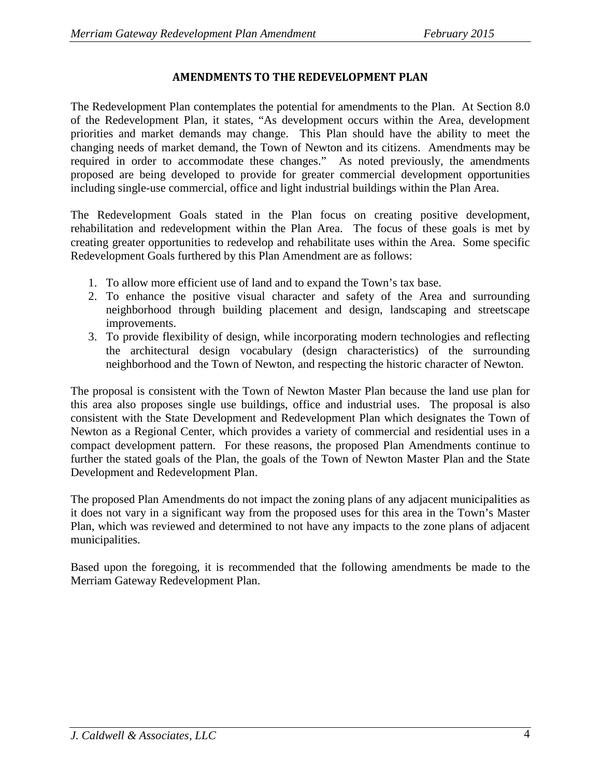#### **AMENDMENTS TO THE REDEVELOPMENT PLAN**

<span id="page-3-0"></span>The Redevelopment Plan contemplates the potential for amendments to the Plan. At Section 8.0 of the Redevelopment Plan, it states, "As development occurs within the Area, development priorities and market demands may change. This Plan should have the ability to meet the changing needs of market demand, the Town of Newton and its citizens. Amendments may be required in order to accommodate these changes." As noted previously, the amendments proposed are being developed to provide for greater commercial development opportunities including single-use commercial, office and light industrial buildings within the Plan Area.

The Redevelopment Goals stated in the Plan focus on creating positive development, rehabilitation and redevelopment within the Plan Area. The focus of these goals is met by creating greater opportunities to redevelop and rehabilitate uses within the Area. Some specific Redevelopment Goals furthered by this Plan Amendment are as follows:

- 1. To allow more efficient use of land and to expand the Town's tax base.
- 2. To enhance the positive visual character and safety of the Area and surrounding neighborhood through building placement and design, landscaping and streetscape improvements.
- 3. To provide flexibility of design, while incorporating modern technologies and reflecting the architectural design vocabulary (design characteristics) of the surrounding neighborhood and the Town of Newton, and respecting the historic character of Newton.

The proposal is consistent with the Town of Newton Master Plan because the land use plan for this area also proposes single use buildings, office and industrial uses. The proposal is also consistent with the State Development and Redevelopment Plan which designates the Town of Newton as a Regional Center, which provides a variety of commercial and residential uses in a compact development pattern. For these reasons, the proposed Plan Amendments continue to further the stated goals of the Plan, the goals of the Town of Newton Master Plan and the State Development and Redevelopment Plan.

The proposed Plan Amendments do not impact the zoning plans of any adjacent municipalities as it does not vary in a significant way from the proposed uses for this area in the Town's Master Plan, which was reviewed and determined to not have any impacts to the zone plans of adjacent municipalities.

Based upon the foregoing, it is recommended that the following amendments be made to the Merriam Gateway Redevelopment Plan.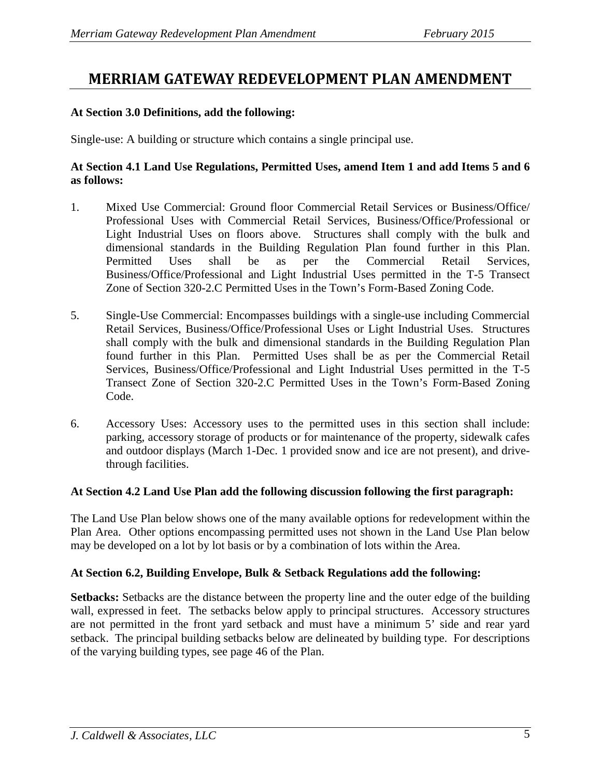## <span id="page-4-0"></span>**MERRIAM GATEWAY REDEVELOPMENT PLAN AMENDMENT**

#### **At Section 3.0 Definitions, add the following:**

Single-use: A building or structure which contains a single principal use.

#### **At Section 4.1 Land Use Regulations, Permitted Uses, amend Item 1 and add Items 5 and 6 as follows:**

- 1. Mixed Use Commercial: Ground floor Commercial Retail Services or Business/Office/ Professional Uses with Commercial Retail Services, Business/Office/Professional or Light Industrial Uses on floors above. Structures shall comply with the bulk and dimensional standards in the Building Regulation Plan found further in this Plan. Permitted Uses shall be as per the Commercial Retail Services, Business/Office/Professional and Light Industrial Uses permitted in the T-5 Transect Zone of Section 320-2.C Permitted Uses in the Town's Form-Based Zoning Code.
- 5. Single-Use Commercial: Encompasses buildings with a single-use including Commercial Retail Services, Business/Office/Professional Uses or Light Industrial Uses. Structures shall comply with the bulk and dimensional standards in the Building Regulation Plan found further in this Plan. Permitted Uses shall be as per the Commercial Retail Services, Business/Office/Professional and Light Industrial Uses permitted in the T-5 Transect Zone of Section 320-2.C Permitted Uses in the Town's Form-Based Zoning Code.
- 6. Accessory Uses: Accessory uses to the permitted uses in this section shall include: parking, accessory storage of products or for maintenance of the property, sidewalk cafes and outdoor displays (March 1-Dec. 1 provided snow and ice are not present), and drivethrough facilities.

#### **At Section 4.2 Land Use Plan add the following discussion following the first paragraph:**

The Land Use Plan below shows one of the many available options for redevelopment within the Plan Area. Other options encompassing permitted uses not shown in the Land Use Plan below may be developed on a lot by lot basis or by a combination of lots within the Area.

#### **At Section 6.2, Building Envelope, Bulk & Setback Regulations add the following:**

**Setbacks:** Setbacks are the distance between the property line and the outer edge of the building wall, expressed in feet. The setbacks below apply to principal structures. Accessory structures are not permitted in the front yard setback and must have a minimum 5' side and rear yard setback. The principal building setbacks below are delineated by building type. For descriptions of the varying building types, see page 46 of the Plan.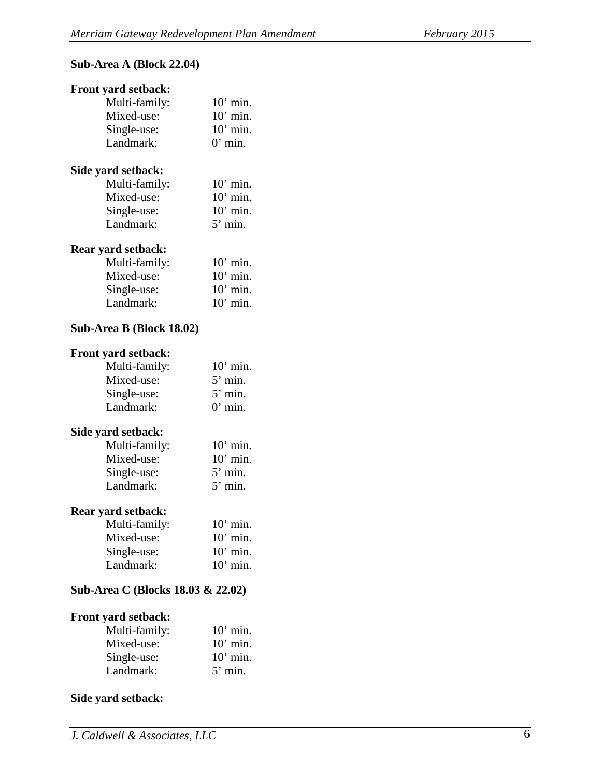#### **Sub-Area A (Block 22.04)**

### **Front yard setback:**  Multi-family: 10' min. Mixed-use: 10' min. Single-use: 10' min. Landmark: 0' min. **Side yard setback:**  Multi-family: 10' min. Mixed-use: 10' min. Single-use: 10' min. Landmark: 5' min. **Rear yard setback:**  Multi-family: 10' min. Mixed-use: 10' min. Single-use: 10' min. Landmark: 10' min. **Sub-Area B (Block 18.02) Front yard setback:** Multi-family: 10' min. Mixed-use: 5' min. Single-use: 5' min. Landmark: 0' min. **Side yard setback:**  Multi-family: 10' min. Mixed-use: 10' min. Single-use: 5' min. Landmark: 5' min. **Rear yard setback:**

| $10'$ min. |
|------------|
| $10'$ min. |
| $10'$ min. |
| $10'$ min. |
|            |

#### **Sub-Area C (Blocks 18.03 & 22.02)**

#### **Front yard setback:**

| Multi-family: | $10'$ min. |
|---------------|------------|
| Mixed-use:    | $10'$ min. |
| Single-use:   | $10'$ min. |
| Landmark:     | $5'$ min.  |

#### **Side yard setback:**